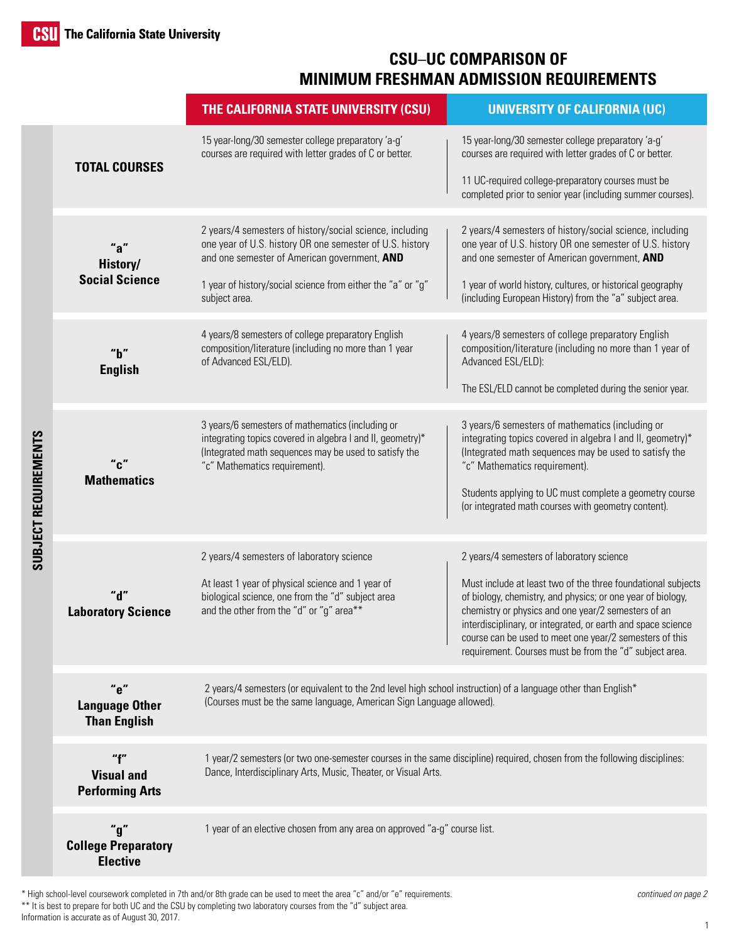## **CSU**–**UC COMPARISON OF MINIMUM FRESHMAN ADMISSION REQUIREMENTS**

|                      |                                                      | THE CALIFORNIA STATE UNIVERSITY (CSU)                                                                                                                                                                                                                | <b>UNIVERSITY OF CALIFORNIA (UC)</b>                                                                                                                                                                                                                                                                                                                                                                                  |  |
|----------------------|------------------------------------------------------|------------------------------------------------------------------------------------------------------------------------------------------------------------------------------------------------------------------------------------------------------|-----------------------------------------------------------------------------------------------------------------------------------------------------------------------------------------------------------------------------------------------------------------------------------------------------------------------------------------------------------------------------------------------------------------------|--|
| SUBJECT REQUIREMENTS | <b>TOTAL COURSES</b>                                 | 15 year-long/30 semester college preparatory 'a-g'<br>courses are required with letter grades of C or better.                                                                                                                                        | 15 year-long/30 semester college preparatory 'a-g'<br>courses are required with letter grades of C or better.<br>11 UC-required college-preparatory courses must be<br>completed prior to senior year (including summer courses).                                                                                                                                                                                     |  |
|                      | History/<br><b>Social Science</b>                    | 2 years/4 semesters of history/social science, including<br>one year of U.S. history OR one semester of U.S. history<br>and one semester of American government, AND<br>1 year of history/social science from either the "a" or "g"<br>subject area. | 2 years/4 semesters of history/social science, including<br>one year of U.S. history OR one semester of U.S. history<br>and one semester of American government, AND<br>1 year of world history, cultures, or historical geography<br>(including European History) from the "a" subject area.                                                                                                                         |  |
|                      | "h"<br><b>English</b>                                | 4 years/8 semesters of college preparatory English<br>composition/literature (including no more than 1 year<br>of Advanced ESL/ELD).                                                                                                                 | 4 years/8 semesters of college preparatory English<br>composition/literature (including no more than 1 year of<br>Advanced ESL/ELD):<br>The ESL/ELD cannot be completed during the senior year.                                                                                                                                                                                                                       |  |
|                      | <b>Mathematics</b>                                   | 3 years/6 semesters of mathematics (including or<br>integrating topics covered in algebra I and II, geometry)*<br>(Integrated math sequences may be used to satisfy the<br>"c" Mathematics requirement).                                             | 3 years/6 semesters of mathematics (including or<br>integrating topics covered in algebra I and II, geometry)*<br>(Integrated math sequences may be used to satisfy the<br>"c" Mathematics requirement).<br>Students applying to UC must complete a geometry course<br>(or integrated math courses with geometry content).                                                                                            |  |
|                      | <b>Laboratory Science</b>                            | 2 years/4 semesters of laboratory science<br>At least 1 year of physical science and 1 year of<br>biological science, one from the "d" subject area<br>and the other from the "d" or "g" area**                                                      | 2 years/4 semesters of laboratory science<br>Must include at least two of the three foundational subjects<br>of biology, chemistry, and physics; or one year of biology,<br>chemistry or physics and one year/2 semesters of an<br>interdisciplinary, or integrated, or earth and space science<br>course can be used to meet one year/2 semesters of this<br>requirement. Courses must be from the "d" subject area. |  |
|                      | "e"<br><b>Language Other</b><br><b>Than English</b>  | 2 years/4 semesters (or equivalent to the 2nd level high school instruction) of a language other than English*<br>(Courses must be the same language, American Sign Language allowed).                                                               |                                                                                                                                                                                                                                                                                                                                                                                                                       |  |
|                      | "f"<br><b>Visual and</b><br><b>Performing Arts</b>   | 1 year/2 semesters (or two one-semester courses in the same discipline) required, chosen from the following disciplines:<br>Dance, Interdisciplinary Arts, Music, Theater, or Visual Arts.                                                           |                                                                                                                                                                                                                                                                                                                                                                                                                       |  |
|                      | "g"<br><b>College Preparatory</b><br><b>Elective</b> | 1 year of an elective chosen from any area on approved "a-g" course list.                                                                                                                                                                            |                                                                                                                                                                                                                                                                                                                                                                                                                       |  |

\* High school-level coursework completed in 7th and/or 8th grade can be used to meet the area "c" and/or "e" requirements. \*\* It is best to prepare for both UC and the CSU by completing two laboratory courses from the "d" subject area. Information is accurate as of August 30, 2017.

*continued on page 2*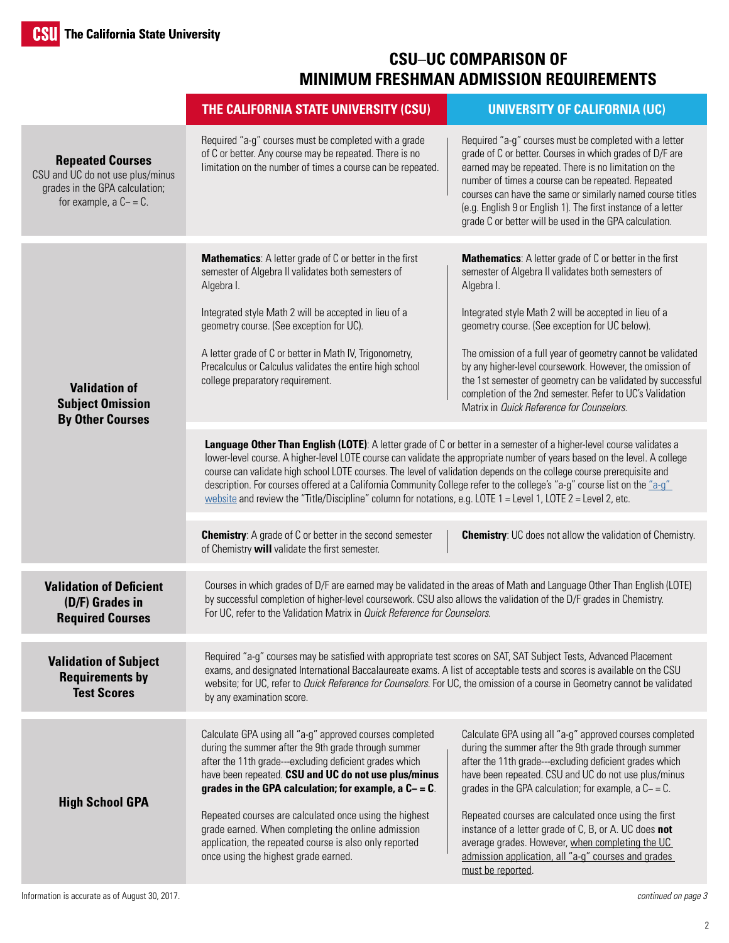## **CSU**–**UC COMPARISON OF MINIMUM FRESHMAN ADMISSION REQUIREMENTS**

|                                                                                                                             | THE CALIFORNIA STATE UNIVERSITY (CSU)                                                                                                                                                                                                                                                                                                                                                                                                                                                                                                                                                                                      | <b>UNIVERSITY OF CALIFORNIA (UC)</b>                                                                                                                                                                                                                                                                                                                                                                                                                                                                                                              |
|-----------------------------------------------------------------------------------------------------------------------------|----------------------------------------------------------------------------------------------------------------------------------------------------------------------------------------------------------------------------------------------------------------------------------------------------------------------------------------------------------------------------------------------------------------------------------------------------------------------------------------------------------------------------------------------------------------------------------------------------------------------------|---------------------------------------------------------------------------------------------------------------------------------------------------------------------------------------------------------------------------------------------------------------------------------------------------------------------------------------------------------------------------------------------------------------------------------------------------------------------------------------------------------------------------------------------------|
| <b>Repeated Courses</b><br>CSU and UC do not use plus/minus<br>grades in the GPA calculation;<br>for example, $a C - = C$ . | Required "a-g" courses must be completed with a grade<br>of C or better. Any course may be repeated. There is no<br>limitation on the number of times a course can be repeated.                                                                                                                                                                                                                                                                                                                                                                                                                                            | Required "a-g" courses must be completed with a letter<br>grade of C or better. Courses in which grades of D/F are<br>earned may be repeated. There is no limitation on the<br>number of times a course can be repeated. Repeated<br>courses can have the same or similarly named course titles<br>(e.g. English 9 or English 1). The first instance of a letter<br>grade C or better will be used in the GPA calculation.                                                                                                                        |
| <b>Validation of</b><br><b>Subject Omission</b><br><b>By Other Courses</b>                                                  | <b>Mathematics:</b> A letter grade of C or better in the first<br>semester of Algebra II validates both semesters of<br>Algebra I.<br>Integrated style Math 2 will be accepted in lieu of a<br>geometry course. (See exception for UC).<br>A letter grade of C or better in Math IV, Trigonometry,<br>Precalculus or Calculus validates the entire high school<br>college preparatory requirement.                                                                                                                                                                                                                         | Mathematics: A letter grade of C or better in the first<br>semester of Algebra II validates both semesters of<br>Algebra I.<br>Integrated style Math 2 will be accepted in lieu of a<br>geometry course. (See exception for UC below).<br>The omission of a full year of geometry cannot be validated<br>by any higher-level coursework. However, the omission of<br>the 1st semester of geometry can be validated by successful<br>completion of the 2nd semester. Refer to UC's Validation<br>Matrix in <i>Quick Reference for Counselors</i> . |
|                                                                                                                             | Language Other Than English (LOTE): A letter grade of C or better in a semester of a higher-level course validates a<br>lower-level course. A higher-level LOTE course can validate the appropriate number of years based on the level. A college<br>course can validate high school LOTE courses. The level of validation depends on the college course prerequisite and<br>description. For courses offered at a California Community College refer to the college's "a-g" course list on the "a-g"<br>website and review the "Title/Discipline" column for notations, e.g. LOTE $1 =$ Level 1, LOTE $2 =$ Level 2, etc. |                                                                                                                                                                                                                                                                                                                                                                                                                                                                                                                                                   |
|                                                                                                                             | <b>Chemistry:</b> A grade of C or better in the second semester<br>of Chemistry will validate the first semester.                                                                                                                                                                                                                                                                                                                                                                                                                                                                                                          | <b>Chemistry:</b> UC does not allow the validation of Chemistry.                                                                                                                                                                                                                                                                                                                                                                                                                                                                                  |
| <b>Validation of Deficient</b><br>(D/F) Grades in<br><b>Required Courses</b>                                                | Courses in which grades of D/F are earned may be validated in the areas of Math and Language Other Than English (LOTE)<br>by successful completion of higher-level coursework. CSU also allows the validation of the D/F grades in Chemistry.<br>For UC, refer to the Validation Matrix in Quick Reference for Counselors.                                                                                                                                                                                                                                                                                                 |                                                                                                                                                                                                                                                                                                                                                                                                                                                                                                                                                   |
| <b>Validation of Subject</b><br><b>Requirements by</b><br><b>Test Scores</b>                                                | Required "a-g" courses may be satisfied with appropriate test scores on SAT, SAT Subject Tests, Advanced Placement<br>exams, and designated International Baccalaureate exams. A list of acceptable tests and scores is available on the CSU<br>website; for UC, refer to Quick Reference for Counselors. For UC, the omission of a course in Geometry cannot be validated<br>by any examination score.                                                                                                                                                                                                                    |                                                                                                                                                                                                                                                                                                                                                                                                                                                                                                                                                   |
| <b>High School GPA</b>                                                                                                      | Calculate GPA using all "a-g" approved courses completed<br>during the summer after the 9th grade through summer<br>after the 11th grade---excluding deficient grades which<br>have been repeated. CSU and UC do not use plus/minus<br>grades in the GPA calculation; for example, a $C - = C$ .<br>Repeated courses are calculated once using the highest<br>grade earned. When completing the online admission<br>application, the repeated course is also only reported<br>once using the highest grade earned.                                                                                                         | Calculate GPA using all "a-g" approved courses completed<br>during the summer after the 9th grade through summer<br>after the 11th grade---excluding deficient grades which<br>have been repeated. CSU and UC do not use plus/minus<br>grades in the GPA calculation; for example, a $C - = C$ .<br>Repeated courses are calculated once using the first<br>instance of a letter grade of C, B, or A. UC does not<br>average grades. However, when completing the UC<br>admission application, all "a-g" courses and grades<br>must be reported.  |